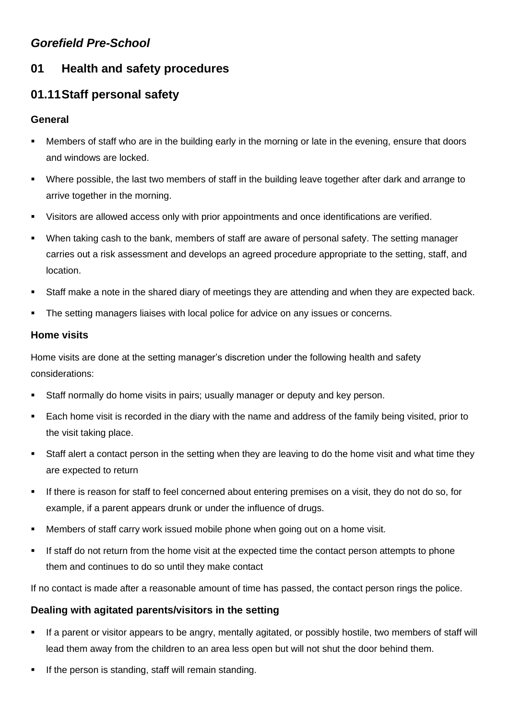## *Gorefield Pre-School*

## **01 Health and safety procedures**

# **01.11Staff personal safety**

### **General**

- Members of staff who are in the building early in the morning or late in the evening, ensure that doors and windows are locked.
- Where possible, the last two members of staff in the building leave together after dark and arrange to arrive together in the morning.
- Visitors are allowed access only with prior appointments and once identifications are verified.
- When taking cash to the bank, members of staff are aware of personal safety. The setting manager carries out a risk assessment and develops an agreed procedure appropriate to the setting, staff, and location.
- Staff make a note in the shared diary of meetings they are attending and when they are expected back.
- **•** The setting managers liaises with local police for advice on any issues or concerns.

#### **Home visits**

Home visits are done at the setting manager's discretion under the following health and safety considerations:

- Staff normally do home visits in pairs; usually manager or deputy and key person.
- Each home visit is recorded in the diary with the name and address of the family being visited, prior to the visit taking place.
- Staff alert a contact person in the setting when they are leaving to do the home visit and what time they are expected to return
- If there is reason for staff to feel concerned about entering premises on a visit, they do not do so, for example, if a parent appears drunk or under the influence of drugs.
- **■** Members of staff carry work issued mobile phone when going out on a home visit.
- If staff do not return from the home visit at the expected time the contact person attempts to phone them and continues to do so until they make contact

If no contact is made after a reasonable amount of time has passed, the contact person rings the police.

### **Dealing with agitated parents/visitors in the setting**

- If a parent or visitor appears to be angry, mentally agitated, or possibly hostile, two members of staff will lead them away from the children to an area less open but will not shut the door behind them.
- If the person is standing, staff will remain standing.